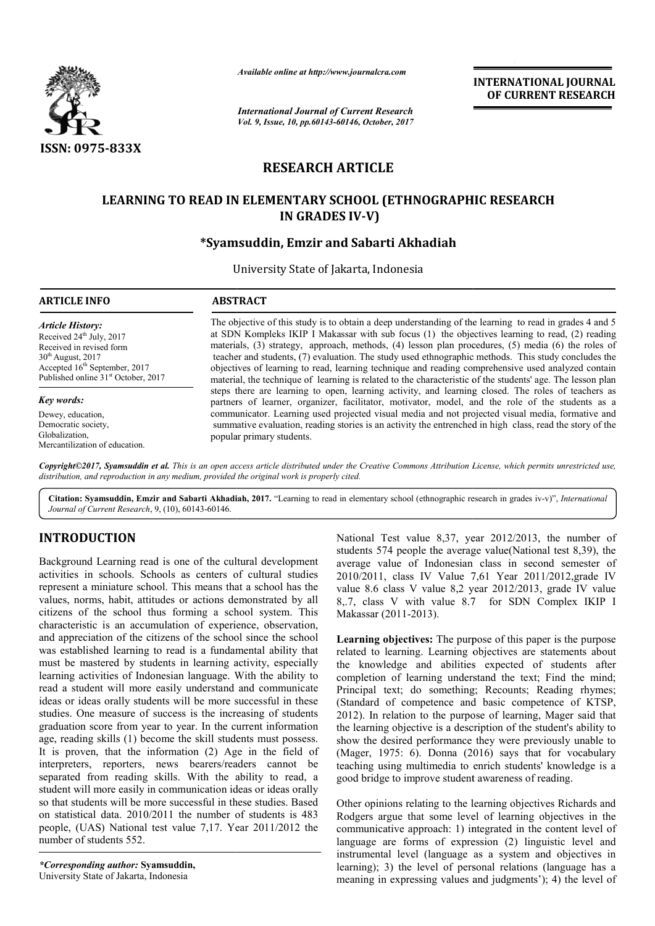

*Available online at http://www.journalcra.com*

*International Journal of Current Research Vol. 9, Issue, 10, pp.60143-60146, October, 2017* **INTERNATIONAL JOURNAL OF CURRENT RESEARCH** 

# **RESEARCH ARTICLE**

# LEARNING TO READ IN ELEMENTARY SCHOOL (ETHNOGRAPHIC RESEARCH **IN GRADES IV-V)**

# **\*Syamsuddin \*Syamsuddin, Emzir and Sabarti Akhadiah**

University State of Jakarta, Indonesia

#### **ARTICLE INFO ABSTRACT**

*Article History:* Received 24<sup>th</sup> July, 2017 Received in revised form 30th August, 2017 Accepted 16<sup>th</sup> September, 2017 Published online 31<sup>st</sup> October, 2017

#### *Key words:*

Dewey, education, Democratic society, Globalization, Mercantilization of education.

The objective of this study is to obtain a deep understanding of the learning to read in grades 4 and 5 at SDN Kompleks IKIP I Makassar with sub focus (1) the objectives learning to read, (2) reading materials, (3) strategy, approach, methods, (4) lesson plan procedures, (5) media (6) the roles of materials, (3) strategy, approach, methods, (4) lesson plan procedures, (5) media (6) the roles of teacher and students, (7) evaluation. The study used ethnographic methods. This study concludes the objectives of learning to read, learning technique and reading comprehensive used analyzed contain material, the technique of learning is related to the characteristic of the students' age. The lesson plan objectives of learning to read, learning technique and reading comprehensive used analyzed contain material, the technique of learning is related to the characteristic of the students' age. The lesson plan steps there are partners of learner, organizer, facilitator, motivator, model, and the role of the students as a communicator. Learning used projected visual media and not projected visual media, formative and summative evaluation, reading stories is an activity the entrenched in high popular primary students. partners of learner, organizer, facilitator, motivator, model, and the role of the students as a communicator. Learning used projected visual media and not projected visual media, formative and summative evaluation, readin

*Copyright©2017, Syamsuddin et al. This is an open access article distributed under the Creative Commons Att Attribution License, which ribution permits unrestricted use, distribution, and reproduction in any medium, provided the original work is properly cited.*

Citation: Syamsuddin, Emzir and Sabarti Akhadiah, 2017. "Learning to read in elementary school (ethnographic research in grades iv-v)", International *Journal of Current Research*, 9, (10), 60143-60146.

# **INTRODUCTION**

Background Learning read is one of the cultural development activities in schools. Schools as centers of cultural studies represent a miniature school. This means that a school has the values, norms, habit, attitudes or actions demonstrated by all citizens of the school thus forming a school system. This characteristic is an accumulation of experience, observation, and appreciation of the citizens of the school since the school was established learning to read is a fundamental ability that must be mastered by students in learning activity, especially learning activities of Indonesian language. With the ability to read a student will more easily understand and c communicate ideas or ideas orally students will be more successful in these studies. One measure of success is the increasing of students graduation score from year to year. In the current information age, reading skills (1) become the skill students must p possess. It is proven, that the information (2) Age in the field of interpreters, reporters, news bearers/readers cannot be separated from reading skills. With the ability to read, a student will more easily in communication ideas or ideas orally so that students will be more successful in these studies. Based on statistical data. 2010/2011 the number of students is 483 people, (UAS) National test value 7,17. Year 2011/2012 the number of students 552.

*\*Corresponding author:* **Syamsuddin,** University State of Jakarta, Indonesia

National Test value 8,37, year 2012/2013, the number of students 574 people the average value(National test 8,39), the average value of Indonesian class in second semester of 2010/2011, class IV Value 7,61 Year 2011/2012,grade IV value 8.6 class V value 8,2 year 2012/2013, grade IV value 8,.7, class V with value 8.7 for SDN Complex IKIP I Makassar (2011-2013).

**Learning objectives:** The purpose of this paper is the purpose related to learning. Learning objectives are statements about the knowledge and abilities expected of students after completion of learning understand the text; Find the mind; Principal text; do something; Recounts; Reading rhymes; (Standard of competence and basic competence of KTSP, 2012). In relation to the purpose of learning, Mager said that the learning objective is a description of the student's ability to show the desired performance they were previously unable to (Mager, 1975: 6). Donna (2016) says that for vocabulary show the desired performance they were previously unable to (Mager, 1975: 6). Donna (2016) says that for vocabulary teaching using multimedia to enrich students' knowledge is a good bridge to improve student awareness of reading. National Test value 8,37, year 2012/2013, the number of students 574 people the average value (National test 8,39), the average value of Indonesian class in second semester of 2010/2011, class IV Value 7,61 Year 2011/2012, **EXPRED ASSOCIENT (CONSUMERATE ASSOCIENT SCRIP (CONSUMERATE)**<br> **EXPRED ASSOCIENT (CONSUMERATE)**<br> **EXPRED ASSOCIENT (CONSUMERATE)**<br> **EXPRED ASSOCIENT (CONSUMERATE)**<br> **EXPRED ASSOCIENT (CONSUMERATE)**<br> **EXPRED ASSOCIENT (CON** 

good bridge to improve student awareness of reading.<br>Other opinions relating to the learning objectives Richards and Rodgers argue that some level of learning objectives in the communicative approach: 1) integrated in the content level of language are forms of expression (2) linguistic level and instrumental level (language as a system and objectives in learning); 3) the level of personal relations (language has a meaning in expressing values and judgments'); 4) the level of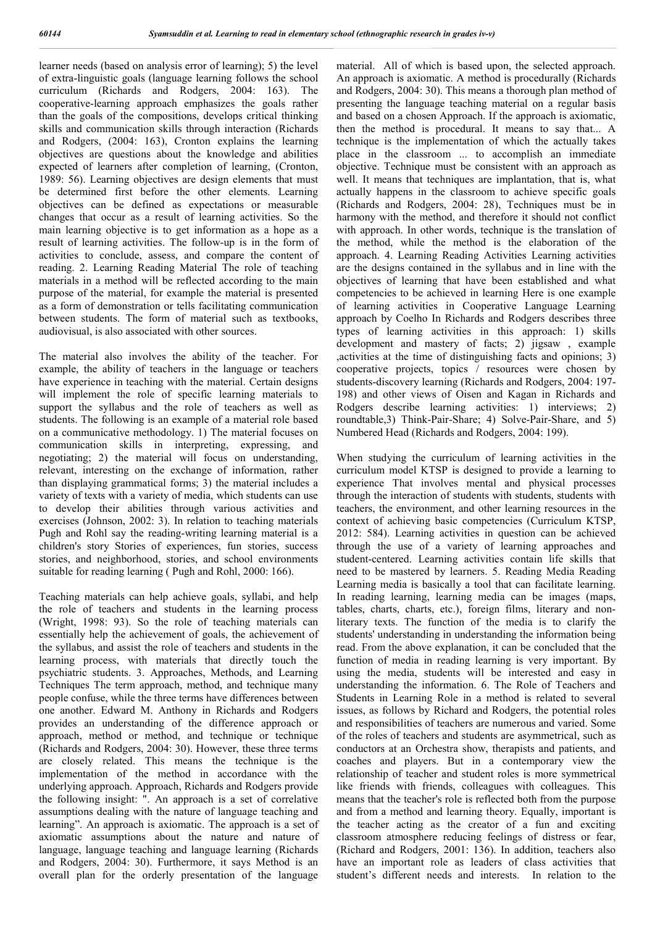learner needs (based on analysis error of learning); 5) the level of extra-linguistic goals (language learning follows the school curriculum (Richards and Rodgers, 2004: 163). The cooperative-learning approach emphasizes the goals rather than the goals of the compositions, develops critical thinking skills and communication skills through interaction (Richards and Rodgers, (2004: 163), Cronton explains the learning objectives are questions about the knowledge and abilities expected of learners after completion of learning, (Cronton, 1989: 56). Learning objectives are design elements that must be determined first before the other elements. Learning objectives can be defined as expectations or measurable changes that occur as a result of learning activities. So the main learning objective is to get information as a hope as a result of learning activities. The follow-up is in the form of activities to conclude, assess, and compare the content of reading. 2. Learning Reading Material The role of teaching materials in a method will be reflected according to the main purpose of the material, for example the material is presented as a form of demonstration or tells facilitating communication between students. The form of material such as textbooks, audiovisual, is also associated with other sources.

The material also involves the ability of the teacher. For example, the ability of teachers in the language or teachers have experience in teaching with the material. Certain designs will implement the role of specific learning materials to support the syllabus and the role of teachers as well as students. The following is an example of a material role based on a communicative methodology. 1) The material focuses on communication skills in interpreting, expressing, and negotiating; 2) the material will focus on understanding, relevant, interesting on the exchange of information, rather than displaying grammatical forms; 3) the material includes a variety of texts with a variety of media, which students can use to develop their abilities through various activities and exercises (Johnson, 2002: 3). In relation to teaching materials Pugh and Rohl say the reading-writing learning material is a children's story Stories of experiences, fun stories, success stories, and neighborhood, stories, and school environments suitable for reading learning ( Pugh and Rohl, 2000: 166).

Teaching materials can help achieve goals, syllabi, and help the role of teachers and students in the learning process (Wright, 1998: 93). So the role of teaching materials can essentially help the achievement of goals, the achievement of the syllabus, and assist the role of teachers and students in the learning process, with materials that directly touch the psychiatric students. 3. Approaches, Methods, and Learning Techniques The term approach, method, and technique many people confuse, while the three terms have differences between one another. Edward M. Anthony in Richards and Rodgers provides an understanding of the difference approach or approach, method or method, and technique or technique (Richards and Rodgers, 2004: 30). However, these three terms are closely related. This means the technique is the implementation of the method in accordance with the underlying approach. Approach, Richards and Rodgers provide the following insight: ". An approach is a set of correlative assumptions dealing with the nature of language teaching and learning". An approach is axiomatic. The approach is a set of axiomatic assumptions about the nature and nature of language, language teaching and language learning (Richards and Rodgers, 2004: 30). Furthermore, it says Method is an overall plan for the orderly presentation of the language

material. All of which is based upon, the selected approach. An approach is axiomatic. A method is procedurally (Richards and Rodgers, 2004: 30). This means a thorough plan method of presenting the language teaching material on a regular basis and based on a chosen Approach. If the approach is axiomatic, then the method is procedural. It means to say that... A technique is the implementation of which the actually takes place in the classroom ... to accomplish an immediate objective. Technique must be consistent with an approach as well. It means that techniques are implantation, that is, what actually happens in the classroom to achieve specific goals (Richards and Rodgers, 2004: 28), Techniques must be in harmony with the method, and therefore it should not conflict with approach. In other words, technique is the translation of the method, while the method is the elaboration of the approach. 4. Learning Reading Activities Learning activities are the designs contained in the syllabus and in line with the objectives of learning that have been established and what competencies to be achieved in learning Here is one example of learning activities in Cooperative Language Learning approach by Coelho In Richards and Rodgers describes three types of learning activities in this approach: 1) skills development and mastery of facts; 2) jigsaw , example ,activities at the time of distinguishing facts and opinions; 3) cooperative projects, topics / resources were chosen by students-discovery learning (Richards and Rodgers, 2004: 197- 198) and other views of Oisen and Kagan in Richards and Rodgers describe learning activities: 1) interviews; 2) roundtable,3) Think-Pair-Share; 4) Solve-Pair-Share, and 5) Numbered Head (Richards and Rodgers, 2004: 199).

When studying the curriculum of learning activities in the curriculum model KTSP is designed to provide a learning to experience That involves mental and physical processes through the interaction of students with students, students with teachers, the environment, and other learning resources in the context of achieving basic competencies (Curriculum KTSP, 2012: 584). Learning activities in question can be achieved through the use of a variety of learning approaches and student-centered. Learning activities contain life skills that need to be mastered by learners. 5. Reading Media Reading Learning media is basically a tool that can facilitate learning. In reading learning, learning media can be images (maps, tables, charts, charts, etc.), foreign films, literary and nonliterary texts. The function of the media is to clarify the students' understanding in understanding the information being read. From the above explanation, it can be concluded that the function of media in reading learning is very important. By using the media, students will be interested and easy in understanding the information. 6. The Role of Teachers and Students in Learning Role in a method is related to several issues, as follows by Richard and Rodgers, the potential roles and responsibilities of teachers are numerous and varied. Some of the roles of teachers and students are asymmetrical, such as conductors at an Orchestra show, therapists and patients, and coaches and players. But in a contemporary view the relationship of teacher and student roles is more symmetrical like friends with friends, colleagues with colleagues. This means that the teacher's role is reflected both from the purpose and from a method and learning theory. Equally, important is the teacher acting as the creator of a fun and exciting classroom atmosphere reducing feelings of distress or fear, (Richard and Rodgers, 2001: 136). In addition, teachers also have an important role as leaders of class activities that student's different needs and interests. In relation to the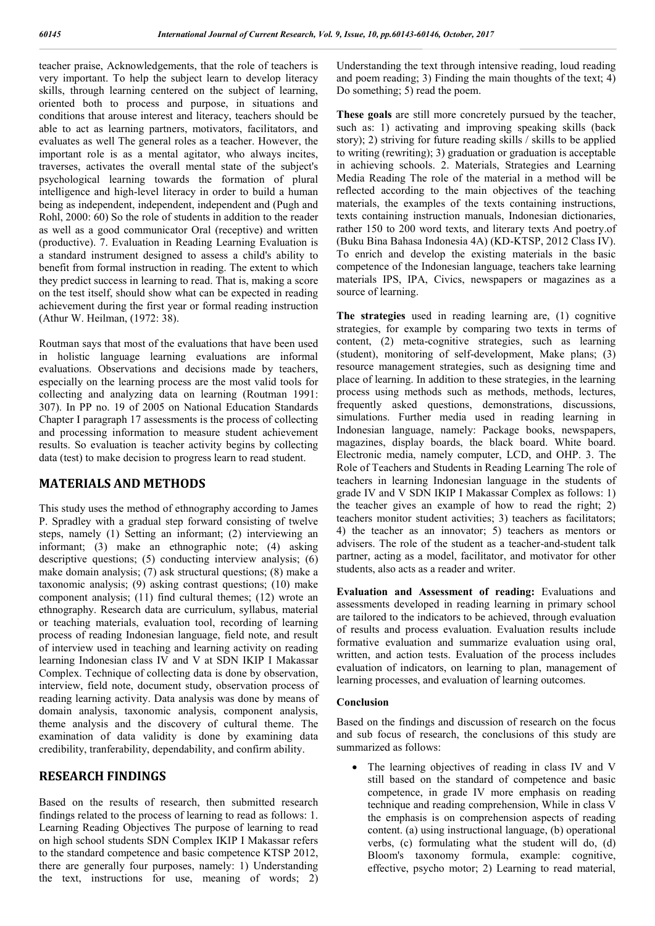teacher praise, Acknowledgements, that the role of teachers is very important. To help the subject learn to develop literacy skills, through learning centered on the subject of learning, oriented both to process and purpose, in situations and conditions that arouse interest and literacy, teachers should be able to act as learning partners, motivators, facilitators, and evaluates as well The general roles as a teacher. However, the important role is as a mental agitator, who always incites, traverses, activates the overall mental state of the subject's psychological learning towards the formation of plural intelligence and high-level literacy in order to build a human being as independent, independent, independent and (Pugh and Rohl, 2000: 60) So the role of students in addition to the reader as well as a good communicator Oral (receptive) and written (productive). 7. Evaluation in Reading Learning Evaluation is a standard instrument designed to assess a child's ability to benefit from formal instruction in reading. The extent to which they predict success in learning to read. That is, making a score on the test itself, should show what can be expected in reading achievement during the first year or formal reading instruction (Athur W. Heilman, (1972: 38).

Routman says that most of the evaluations that have been used in holistic language learning evaluations are informal evaluations. Observations and decisions made by teachers, especially on the learning process are the most valid tools for collecting and analyzing data on learning (Routman 1991: 307). In PP no. 19 of 2005 on National Education Standards Chapter I paragraph 17 assessments is the process of collecting and processing information to measure student achievement results. So evaluation is teacher activity begins by collecting data (test) to make decision to progress learn to read student.

## **MATERIALS AND METHODS**

This study uses the method of ethnography according to James P. Spradley with a gradual step forward consisting of twelve steps, namely (1) Setting an informant; (2) interviewing an informant; (3) make an ethnographic note; (4) asking descriptive questions; (5) conducting interview analysis; (6) make domain analysis; (7) ask structural questions; (8) make a taxonomic analysis; (9) asking contrast questions; (10) make component analysis; (11) find cultural themes; (12) wrote an ethnography. Research data are curriculum, syllabus, material or teaching materials, evaluation tool, recording of learning process of reading Indonesian language, field note, and result of interview used in teaching and learning activity on reading learning Indonesian class IV and V at SDN IKIP I Makassar Complex. Technique of collecting data is done by observation, interview, field note, document study, observation process of reading learning activity. Data analysis was done by means of domain analysis, taxonomic analysis, component analysis, theme analysis and the discovery of cultural theme. The examination of data validity is done by examining data credibility, tranferability, dependability, and confirm ability.

## **RESEARCH FINDINGS**

Based on the results of research, then submitted research findings related to the process of learning to read as follows: 1. Learning Reading Objectives The purpose of learning to read on high school students SDN Complex IKIP I Makassar refers to the standard competence and basic competence KTSP 2012, there are generally four purposes, namely: 1) Understanding the text, instructions for use, meaning of words; 2) Understanding the text through intensive reading, loud reading and poem reading; 3) Finding the main thoughts of the text; 4) Do something; 5) read the poem.

**These goals** are still more concretely pursued by the teacher, such as: 1) activating and improving speaking skills (back story); 2) striving for future reading skills / skills to be applied to writing (rewriting); 3) graduation or graduation is acceptable in achieving schools. 2. Materials, Strategies and Learning Media Reading The role of the material in a method will be reflected according to the main objectives of the teaching materials, the examples of the texts containing instructions, texts containing instruction manuals, Indonesian dictionaries, rather 150 to 200 word texts, and literary texts And poetry.of (Buku Bina Bahasa Indonesia 4A) (KD-KTSP, 2012 Class IV). To enrich and develop the existing materials in the basic competence of the Indonesian language, teachers take learning materials IPS, IPA, Civics, newspapers or magazines as a source of learning.

**The strategies** used in reading learning are, (1) cognitive strategies, for example by comparing two texts in terms of content, (2) meta-cognitive strategies, such as learning (student), monitoring of self-development, Make plans; (3) resource management strategies, such as designing time and place of learning. In addition to these strategies, in the learning process using methods such as methods, methods, lectures, frequently asked questions, demonstrations, discussions, simulations. Further media used in reading learning in Indonesian language, namely: Package books, newspapers, magazines, display boards, the black board. White board. Electronic media, namely computer, LCD, and OHP. 3. The Role of Teachers and Students in Reading Learning The role of teachers in learning Indonesian language in the students of grade IV and V SDN IKIP I Makassar Complex as follows: 1) the teacher gives an example of how to read the right; 2) teachers monitor student activities; 3) teachers as facilitators; 4) the teacher as an innovator; 5) teachers as mentors or advisers. The role of the student as a teacher-and-student talk partner, acting as a model, facilitator, and motivator for other students, also acts as a reader and writer.

**Evaluation and Assessment of reading:** Evaluations and assessments developed in reading learning in primary school are tailored to the indicators to be achieved, through evaluation of results and process evaluation. Evaluation results include formative evaluation and summarize evaluation using oral, written, and action tests. Evaluation of the process includes evaluation of indicators, on learning to plan, management of learning processes, and evaluation of learning outcomes.

#### **Conclusion**

Based on the findings and discussion of research on the focus and sub focus of research, the conclusions of this study are summarized as follows:

• The learning objectives of reading in class IV and V still based on the standard of competence and basic competence, in grade IV more emphasis on reading technique and reading comprehension, While in class V the emphasis is on comprehension aspects of reading content. (a) using instructional language, (b) operational verbs, (c) formulating what the student will do, (d) Bloom's taxonomy formula, example: cognitive, effective, psycho motor; 2) Learning to read material,